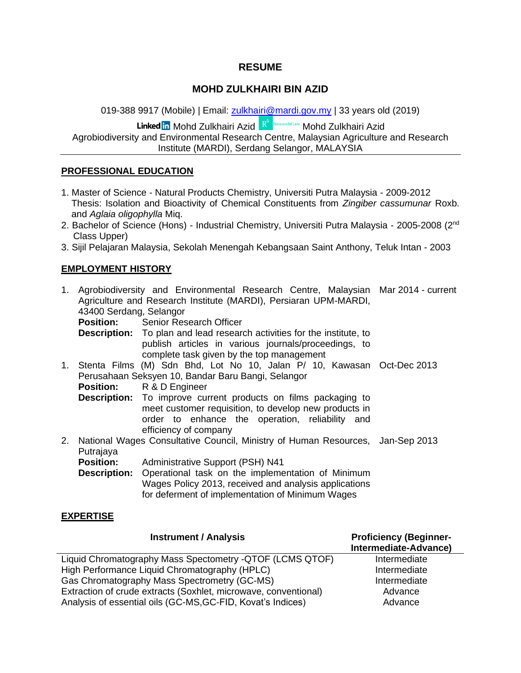#### **RESUME**

### **MOHD ZULKHAIRI BIN AZID**

019-388 9917 (Mobile) | Email: [zulkhairi@mardi.gov.my](mailto:zulkhairi@mardi.gov.my) | 33 years old (2019)

Linked in Mohd Zulkhairi Azid R<sup>e ResearchGate</sup> Mohd Zulkhairi Azid

Agrobiodiversity and Environmental Research Centre, Malaysian Agriculture and Research Institute (MARDI), Serdang Selangor, MALAYSIA

#### **PROFESSIONAL EDUCATION**

- 1. Master of Science Natural Products Chemistry, Universiti Putra Malaysia 2009-2012 Thesis: Isolation and Bioactivity of Chemical Constituents from *Zingiber cassumunar* Roxb. and *Aglaia oligophylla* Miq.
- 2. Bachelor of Science (Hons) Industrial Chemistry, Universiti Putra Malaysia 2005-2008 (2<sup>nd</sup> Class Upper)
- 3. Sijil Pelajaran Malaysia, Sekolah Menengah Kebangsaan Saint Anthony, Teluk Intan 2003

#### **EMPLOYMENT HISTORY**

| 1. | 43400 Serdang, Selangor | Agrobiodiversity and Environmental Research Centre, Malaysian Mar 2014 - current<br>Agriculture and Research Institute (MARDI), Persiaran UPM-MARDI,                                                       |  |
|----|-------------------------|------------------------------------------------------------------------------------------------------------------------------------------------------------------------------------------------------------|--|
|    |                         | <b>Position:</b> Senior Research Officer                                                                                                                                                                   |  |
|    |                         | <b>Description:</b> To plan and lead research activities for the institute, to<br>publish articles in various journals/proceedings, to<br>complete task given by the top management                        |  |
|    |                         | 1. Stenta Films (M) Sdn Bhd, Lot No 10, Jalan P/ 10, Kawasan Oct-Dec 2013                                                                                                                                  |  |
|    |                         | Perusahaan Seksyen 10, Bandar Baru Bangi, Selangor                                                                                                                                                         |  |
|    | <b>Position:</b>        | R & D Engineer                                                                                                                                                                                             |  |
|    |                         | <b>Description:</b> To improve current products on films packaging to<br>meet customer requisition, to develop new products in<br>order to enhance the operation, reliability and<br>efficiency of company |  |
| 2. | Putrajaya               | National Wages Consultative Council, Ministry of Human Resources, Jan-Sep 2013                                                                                                                             |  |
|    | <b>Position:</b>        | <b>Administrative Support (PSH) N41</b>                                                                                                                                                                    |  |
|    | <b>Description:</b>     | Operational task on the implementation of Minimum<br>Wages Policy 2013, received and analysis applications<br>for deferment of implementation of Minimum Wages                                             |  |
|    | <b>EXPERTISE</b>        |                                                                                                                                                                                                            |  |
|    |                         | .                                                                                                                                                                                                          |  |

| <b>Instrument / Analysis</b>                                    | <b>Proficiency (Beginner-</b><br>Intermediate-Advance) |
|-----------------------------------------------------------------|--------------------------------------------------------|
| Liquid Chromatography Mass Spectometry - QTOF (LCMS QTOF)       | Intermediate                                           |
| High Performance Liquid Chromatography (HPLC)                   | Intermediate                                           |
| Gas Chromatography Mass Spectrometry (GC-MS)                    | Intermediate                                           |
| Extraction of crude extracts (Soxhlet, microwave, conventional) | Advance                                                |
| Analysis of essential oils (GC-MS, GC-FID, Kovat's Indices)     | Advance                                                |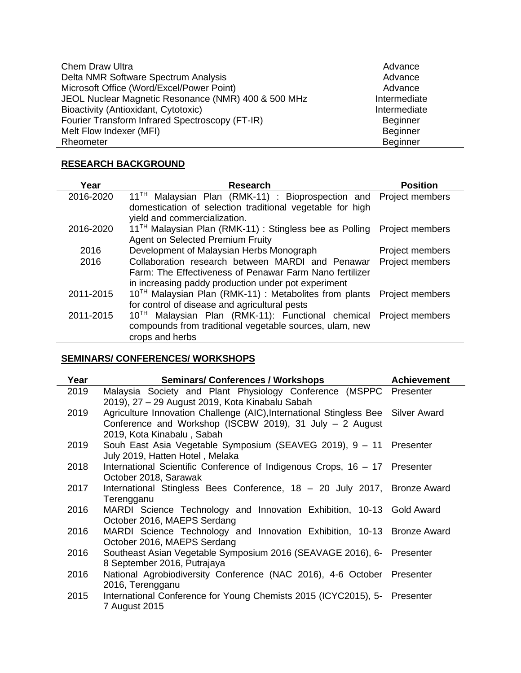| <b>Chem Draw Ultra</b>                              | Advance         |
|-----------------------------------------------------|-----------------|
| Delta NMR Software Spectrum Analysis                | Advance         |
| Microsoft Office (Word/Excel/Power Point)           | Advance         |
| JEOL Nuclear Magnetic Resonance (NMR) 400 & 500 MHz | Intermediate    |
| Bioactivity (Antioxidant, Cytotoxic)                | Intermediate    |
| Fourier Transform Infrared Spectroscopy (FT-IR)     | <b>Beginner</b> |
| Melt Flow Indexer (MFI)                             | <b>Beginner</b> |
| Rheometer                                           | <b>Beginner</b> |

## **RESEARCH BACKGROUND**

| Year      | <b>Research</b>                                                                  | <b>Position</b>        |
|-----------|----------------------------------------------------------------------------------|------------------------|
| 2016-2020 | $11^{\text{TH}}$<br>Malaysian Plan (RMK-11) : Bioprospection and Project members |                        |
|           | domestication of selection traditional vegetable for high                        |                        |
|           | yield and commercialization.                                                     |                        |
| 2016-2020 | 11 <sup>TH</sup> Malaysian Plan (RMK-11) : Stingless bee as Polling              | <b>Project members</b> |
|           | Agent on Selected Premium Fruity                                                 |                        |
| 2016      | Development of Malaysian Herbs Monograph                                         | Project members        |
| 2016      | Collaboration research between MARDI and Penawar                                 | Project members        |
|           | Farm: The Effectiveness of Penawar Farm Nano fertilizer                          |                        |
|           | in increasing paddy production under pot experiment                              |                        |
| 2011-2015 | 10 <sup>TH</sup> Malaysian Plan (RMK-11) : Metabolites from plants               | Project members        |
|           | for control of disease and agricultural pests                                    |                        |
| 2011-2015 | Malaysian Plan (RMK-11): Functional chemical Project members<br>$10^{TH}$        |                        |
|           | compounds from traditional vegetable sources, ulam, new                          |                        |
|           | crops and herbs                                                                  |                        |

## **SEMINARS/ CONFERENCES/ WORKSHOPS**

| Year | <b>Seminars/ Conferences / Workshops</b>                                                                                                                                     | <b>Achievement</b> |
|------|------------------------------------------------------------------------------------------------------------------------------------------------------------------------------|--------------------|
| 2019 | Malaysia Society and Plant Physiology Conference (MSPPC Presenter<br>2019), 27 – 29 August 2019, Kota Kinabalu Sabah                                                         |                    |
| 2019 | Agriculture Innovation Challenge (AIC), International Stingless Bee Silver Award<br>Conference and Workshop (ISCBW 2019), 31 July $-$ 2 August<br>2019, Kota Kinabalu, Sabah |                    |
| 2019 | Souh East Asia Vegetable Symposium (SEAVEG 2019), 9 - 11 Presenter<br>July 2019, Hatten Hotel, Melaka                                                                        |                    |
| 2018 | International Scientific Conference of Indigenous Crops, 16 - 17 Presenter<br>October 2018, Sarawak                                                                          |                    |
| 2017 | International Stingless Bees Conference, 18 - 20 July 2017, Bronze Award<br>Terengganu                                                                                       |                    |
| 2016 | MARDI Science Technology and Innovation Exhibition, 10-13 Gold Award<br>October 2016, MAEPS Serdang                                                                          |                    |
| 2016 | MARDI Science Technology and Innovation Exhibition, 10-13 Bronze Award<br>October 2016, MAEPS Serdang                                                                        |                    |
| 2016 | Southeast Asian Vegetable Symposium 2016 (SEAVAGE 2016), 6- Presenter<br>8 September 2016, Putrajaya                                                                         |                    |
| 2016 | National Agrobiodiversity Conference (NAC 2016), 4-6 October Presenter<br>2016, Terengganu                                                                                   |                    |
| 2015 | International Conference for Young Chemists 2015 (ICYC2015), 5-<br>7 August 2015                                                                                             | Presenter          |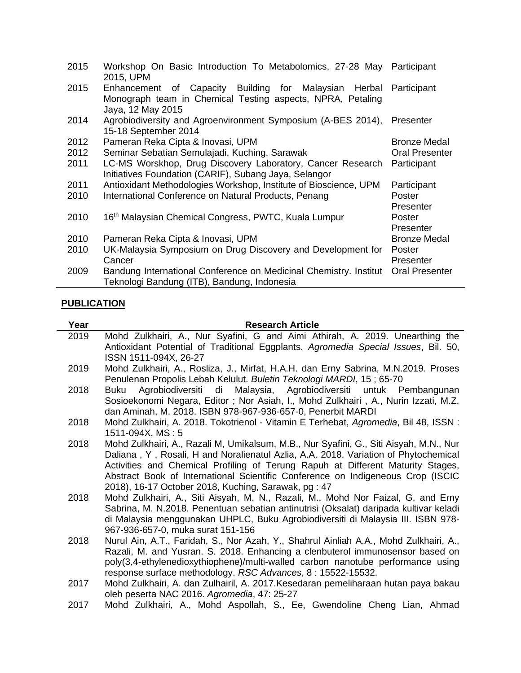| 2015 | Workshop On Basic Introduction To Metabolomics, 27-28 May<br>2015, UPM                                                                      | Participant           |
|------|---------------------------------------------------------------------------------------------------------------------------------------------|-----------------------|
| 2015 | Enhancement of Capacity Building for Malaysian<br>Herbal<br>Monograph team in Chemical Testing aspects, NPRA, Petaling<br>Jaya, 12 May 2015 | Participant           |
| 2014 | Agrobiodiversity and Agroenvironment Symposium (A-BES 2014),<br>15-18 September 2014                                                        | Presenter             |
| 2012 | Pameran Reka Cipta & Inovasi, UPM                                                                                                           | <b>Bronze Medal</b>   |
| 2012 | Seminar Sebatian Semulajadi, Kuching, Sarawak                                                                                               | <b>Oral Presenter</b> |
| 2011 | LC-MS Worskhop, Drug Discovery Laboratory, Cancer Research<br>Initiatives Foundation (CARIF), Subang Jaya, Selangor                         | Participant           |
| 2011 | Antioxidant Methodologies Workshop, Institute of Bioscience, UPM                                                                            | Participant           |
| 2010 | International Conference on Natural Products, Penang                                                                                        | Poster<br>Presenter   |
| 2010 | 16 <sup>th</sup> Malaysian Chemical Congress, PWTC, Kuala Lumpur                                                                            | Poster<br>Presenter   |
| 2010 | Pameran Reka Cipta & Inovasi, UPM                                                                                                           | <b>Bronze Medal</b>   |
| 2010 | UK-Malaysia Symposium on Drug Discovery and Development for<br>Cancer                                                                       | Poster<br>Presenter   |
| 2009 | Bandung International Conference on Medicinal Chemistry. Institut<br>Teknologi Bandung (ITB), Bandung, Indonesia                            | <b>Oral Presenter</b> |

# **PUBLICATION**

| Year | <b>Research Article</b>                                                                                                                                                                                                                                                                                                                                                                                    |
|------|------------------------------------------------------------------------------------------------------------------------------------------------------------------------------------------------------------------------------------------------------------------------------------------------------------------------------------------------------------------------------------------------------------|
| 2019 | Mohd Zulkhairi, A., Nur Syafini, G and Aimi Athirah, A. 2019. Unearthing the<br>Antioxidant Potential of Traditional Eggplants. Agromedia Special Issues, Bil. 50,                                                                                                                                                                                                                                         |
|      | ISSN 1511-094X, 26-27                                                                                                                                                                                                                                                                                                                                                                                      |
| 2019 | Mohd Zulkhairi, A., Rosliza, J., Mirfat, H.A.H. dan Erny Sabrina, M.N.2019. Proses<br>Penulenan Propolis Lebah Kelulut. Buletin Teknologi MARDI, 15; 65-70                                                                                                                                                                                                                                                 |
| 2018 | Agrobiodiversiti di Malaysia, Agrobiodiversiti untuk Pembangunan<br>Buku                                                                                                                                                                                                                                                                                                                                   |
|      | Sosioekonomi Negara, Editor; Nor Asiah, I., Mohd Zulkhairi, A., Nurin Izzati, M.Z.<br>dan Aminah, M. 2018. ISBN 978-967-936-657-0, Penerbit MARDI                                                                                                                                                                                                                                                          |
| 2018 | Mohd Zulkhairi, A. 2018. Tokotrienol - Vitamin E Terhebat, Agromedia, Bil 48, ISSN :<br>1511-094X, MS: 5                                                                                                                                                                                                                                                                                                   |
| 2018 | Mohd Zulkhairi, A., Razali M, Umikalsum, M.B., Nur Syafini, G., Siti Aisyah, M.N., Nur<br>Daliana, Y, Rosali, H and Noralienatul Azlia, A.A. 2018. Variation of Phytochemical<br>Activities and Chemical Profiling of Terung Rapuh at Different Maturity Stages,<br>Abstract Book of International Scientific Conference on Indigeneous Crop (ISCIC<br>2018), 16-17 October 2018, Kuching, Sarawak, pg: 47 |
| 2018 | Mohd Zulkhairi, A., Siti Aisyah, M. N., Razali, M., Mohd Nor Faizal, G. and Erny<br>Sabrina, M. N.2018. Penentuan sebatian antinutrisi (Oksalat) daripada kultivar keladi<br>di Malaysia menggunakan UHPLC, Buku Agrobiodiversiti di Malaysia III. ISBN 978-<br>967-936-657-0, muka surat 151-156                                                                                                          |
| 2018 | Nurul Ain, A.T., Faridah, S., Nor Azah, Y., Shahrul Ainliah A.A., Mohd Zulkhairi, A.,<br>Razali, M. and Yusran. S. 2018. Enhancing a clenbuterol immunosensor based on<br>poly(3,4-ethylenedioxythiophene)/multi-walled carbon nanotube performance using<br>response surface methodology. RSC Advances, 8: 15522-15532.                                                                                   |
| 2017 | Mohd Zulkhairi, A. dan Zulhairil, A. 2017.Kesedaran pemeliharaan hutan paya bakau<br>oleh peserta NAC 2016. Agromedia, 47: 25-27                                                                                                                                                                                                                                                                           |
| 2017 | Mohd Zulkhairi, A., Mohd Aspollah, S., Ee, Gwendoline Cheng Lian, Ahmad                                                                                                                                                                                                                                                                                                                                    |